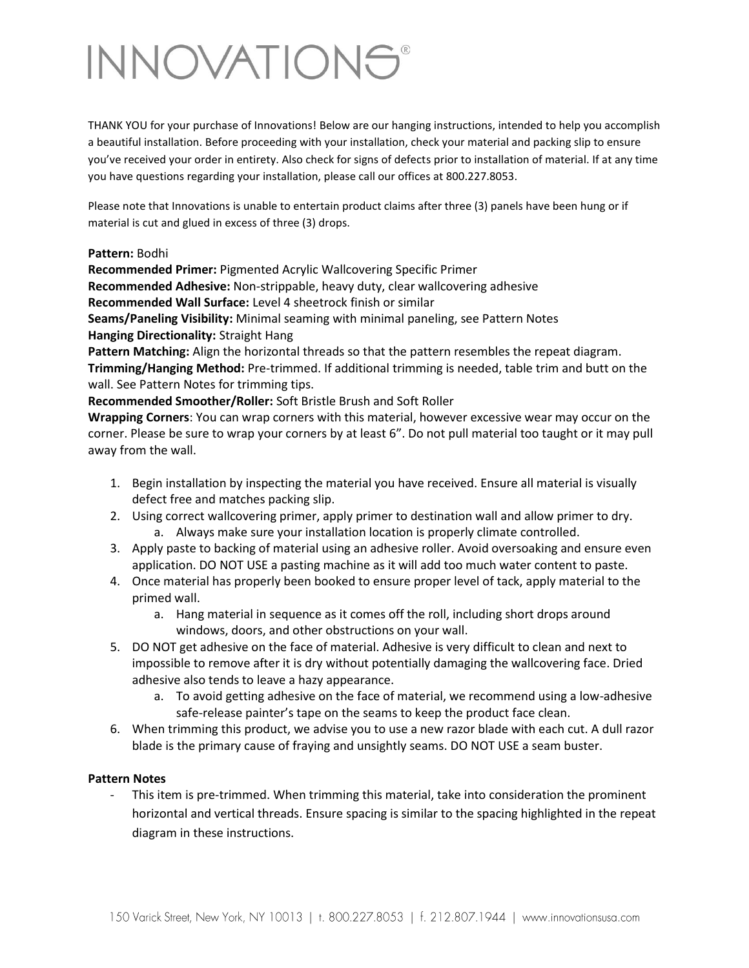## **INNOVATIONS®**

THANK YOU for your purchase of Innovations! Below are our hanging instructions, intended to help you accomplish a beautiful installation. Before proceeding with your installation, check your material and packing slip to ensure you've received your order in entirety. Also check for signs of defects prior to installation of material. If at any time you have questions regarding your installation, please call our offices at 800.227.8053.

Please note that Innovations is unable to entertain product claims after three (3) panels have been hung or if material is cut and glued in excess of three (3) drops.

## **Pattern:** Bodhi

**Recommended Primer:** Pigmented Acrylic Wallcovering Specific Primer

**Recommended Adhesive:** Non-strippable, heavy duty, clear wallcovering adhesive

**Recommended Wall Surface:** Level 4 sheetrock finish or similar

**Seams/Paneling Visibility:** Minimal seaming with minimal paneling, see Pattern Notes **Hanging Directionality:** Straight Hang

**Pattern Matching:** Align the horizontal threads so that the pattern resembles the repeat diagram. **Trimming/Hanging Method:** Pre-trimmed. If additional trimming is needed, table trim and butt on the wall. See Pattern Notes for trimming tips.

**Recommended Smoother/Roller:** Soft Bristle Brush and Soft Roller

**Wrapping Corners**: You can wrap corners with this material, however excessive wear may occur on the corner. Please be sure to wrap your corners by at least 6". Do not pull material too taught or it may pull away from the wall.

- 1. Begin installation by inspecting the material you have received. Ensure all material is visually defect free and matches packing slip.
- 2. Using correct wallcovering primer, apply primer to destination wall and allow primer to dry. a. Always make sure your installation location is properly climate controlled.
- 3. Apply paste to backing of material using an adhesive roller. Avoid oversoaking and ensure even application. DO NOT USE a pasting machine as it will add too much water content to paste.
- 4. Once material has properly been booked to ensure proper level of tack, apply material to the primed wall.
	- a. Hang material in sequence as it comes off the roll, including short drops around windows, doors, and other obstructions on your wall.
- 5. DO NOT get adhesive on the face of material. Adhesive is very difficult to clean and next to impossible to remove after it is dry without potentially damaging the wallcovering face. Dried adhesive also tends to leave a hazy appearance.
	- a. To avoid getting adhesive on the face of material, we recommend using a low-adhesive safe-release painter's tape on the seams to keep the product face clean.
- 6. When trimming this product, we advise you to use a new razor blade with each cut. A dull razor blade is the primary cause of fraying and unsightly seams. DO NOT USE a seam buster.

## **Pattern Notes**

This item is pre-trimmed. When trimming this material, take into consideration the prominent horizontal and vertical threads. Ensure spacing is similar to the spacing highlighted in the repeat diagram in these instructions.